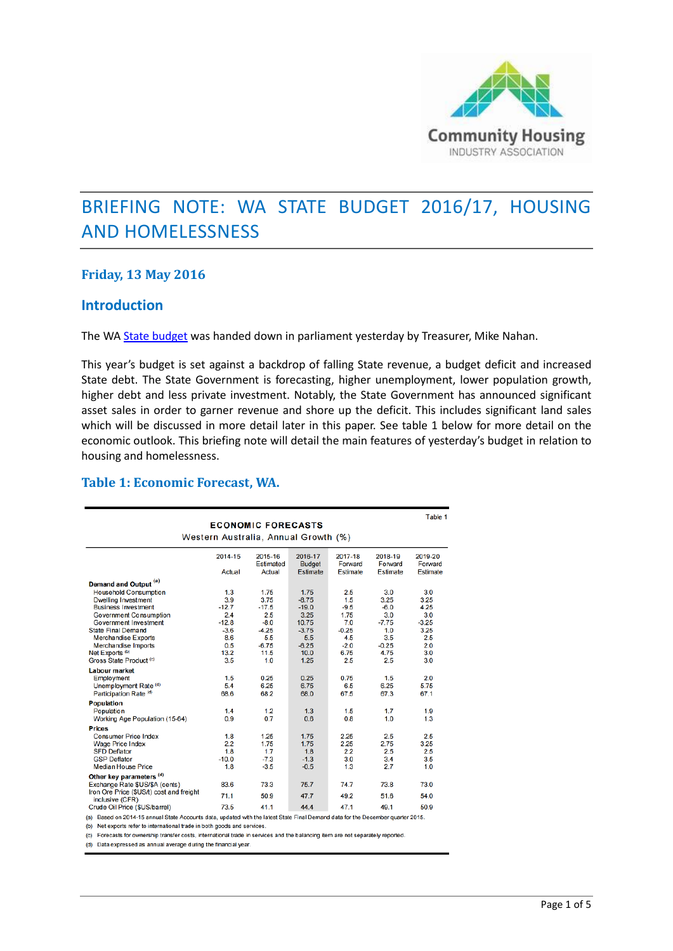

# BRIEFING NOTE: WA STATE BUDGET 2016/17, HOUSING AND HOMELESSNESS

### **Friday, 13 May 2016**

### **Introduction**

The WA [State budget](http://www.ourstatebudget.wa.gov.au/) was handed down in parliament yesterday by Treasurer, Mike Nahan.

This year's budget is set against a backdrop of falling State revenue, a budget deficit and increased State debt. The State Government is forecasting, higher unemployment, lower population growth, higher debt and less private investment. Notably, the State Government has announced significant asset sales in order to garner revenue and shore up the deficit. This includes significant land sales which will be discussed in more detail later in this paper. See table 1 below for more detail on the economic outlook. This briefing note will detail the main features of yesterday's budget in relation to housing and homelessness.

### **Table 1: Economic Forecast, WA.**

|                                          | <b>ECONOMIC FORECASTS</b>                           |                     |                           |                     |                     |                     |  |  |  |  |
|------------------------------------------|-----------------------------------------------------|---------------------|---------------------------|---------------------|---------------------|---------------------|--|--|--|--|
|                                          |                                                     |                     |                           |                     |                     |                     |  |  |  |  |
| Western Australia, Annual Growth (%)     |                                                     |                     |                           |                     |                     |                     |  |  |  |  |
|                                          | 2014-15<br>2017-18<br>2018-19<br>2015-16<br>2016-17 |                     |                           |                     |                     |                     |  |  |  |  |
|                                          | Actual                                              | Estimated<br>Actual | <b>Budget</b><br>Estimate | Forward<br>Estimate | Forward<br>Estimate | Forward<br>Estimate |  |  |  |  |
| Demand and Output <sup>(a)</sup>         |                                                     |                     |                           |                     |                     |                     |  |  |  |  |
| <b>Household Consumption</b>             | 1.3                                                 | 1.75                | 1.75                      | 2.5                 | 3.0                 | 3.0                 |  |  |  |  |
| <b>Dwelling Investment</b>               | 3.9                                                 | 3.75                | $-8.75$                   | 1.5                 | 3.25                | 3.25                |  |  |  |  |
| <b>Business Investment</b>               | $-12.7$                                             | $-17.5$             | $-19.0$                   | $-9.5$              | $-6.0$              | 4.25                |  |  |  |  |
| <b>Government Consumption</b>            | 2.4                                                 | 2.5                 | 3.25                      | 1.75                | 3.0                 | 3.0                 |  |  |  |  |
| <b>Government Investment</b>             | $-12.8$                                             | $-8.0$              | 10.75                     | 7.0                 | $-7.75$             | $-3.25$             |  |  |  |  |
| <b>State Final Demand</b>                | $-3.6$                                              | $-4.25$             | $-3.75$                   | $-0.25$             | 1.0                 | 3.25                |  |  |  |  |
| <b>Merchandise Exports</b>               | 8.6                                                 | 5.5                 | 5.5                       | 4.5                 | 3.5                 | 2.5                 |  |  |  |  |
| <b>Merchandise Imports</b>               | 0.5                                                 | $-6.75$             | $-6.25$                   | $-2.0$              | $-0.25$             | 2.0                 |  |  |  |  |
| Net Exports <sup>(b)</sup>               | 13.2                                                | 11.5                | 10.0                      | 6.75                | 4.75                | 3.0                 |  |  |  |  |
| Gross State Product (c)                  | 3.5                                                 | 1.0                 | 1.25                      | 2.5                 | 2.5                 | 3.0                 |  |  |  |  |
| <b>Labour market</b>                     |                                                     |                     |                           |                     |                     |                     |  |  |  |  |
| Employment                               | 1.5                                                 | 0.25                | 0.25                      | 0.75                | 1.5                 | 2.0                 |  |  |  |  |
| Unemployment Rate (d)                    | 5.4                                                 | 6.25                | 6.75                      | 6.5                 | 6.25                | 5.75                |  |  |  |  |
| Participation Rate <sup>(d)</sup>        | 68.6                                                | 68.2                | 68.0                      | 67.5                | 67.3                | 67.1                |  |  |  |  |
| <b>Population</b>                        |                                                     |                     |                           |                     |                     |                     |  |  |  |  |
| Population                               | 1.4                                                 | 1.2                 | 1.3                       | 1.5                 | 1.7                 | 1.9                 |  |  |  |  |
| Working Age Population (15-64)           | 0.9                                                 | 0.7                 | 0.6                       | 0.8                 | 1.0                 | 1.3                 |  |  |  |  |
| <b>Prices</b>                            |                                                     |                     |                           |                     |                     |                     |  |  |  |  |
| <b>Consumer Price Index</b>              | 1.8                                                 | 1.25                | 1.75                      | 2.25                | 2.5                 | 2.5                 |  |  |  |  |
| <b>Wage Price Index</b>                  | 2.2                                                 | 1.75                | 1.75                      | 2.25                | 2.75                | 3.25                |  |  |  |  |
| <b>SFD Deflator</b>                      | 1.8                                                 | 1.7                 | 1.8                       | 2.2                 | 2.5                 | 2.5                 |  |  |  |  |
| <b>GSP Deflator</b>                      | $-10.0$                                             | $-7.3$              | $-1.3$                    | 3.0                 | 3.4                 | 3.5                 |  |  |  |  |
| <b>Median House Price</b>                | 1.8                                                 | $-3.5$              | $-0.5$                    | 1.3                 | 2.7                 | 1.0                 |  |  |  |  |
| Other key parameters (d)                 |                                                     |                     |                           |                     |                     |                     |  |  |  |  |
| Exchange Rate \$US/\$A (cents)           | 83.6                                                | 73.3                | 75.7                      | 74.7                | 73.8                | 73.0                |  |  |  |  |
| Iron Ore Price (\$US/t) cost and freight |                                                     |                     |                           |                     |                     |                     |  |  |  |  |
| inclusive (CFR)                          | 71.1                                                | 50.9                | 47.7                      | 49.2                | 51.6                | 54.0                |  |  |  |  |
| Crude Oil Price (\$US/barrel)            | 73.5                                                | 41.1                | 44.4                      | 47.1                | 49.1                | 50.9                |  |  |  |  |

(a) Based on 2014-15 annual State Accounts data, updated with the latest State Final Demand data for the December quarter 2015.

(b) Net exports refer to international trade in both goods and services.

(c) Forecasts for ownership transfer costs, international trade in services and the balancing item are not separately reported.

(d) Data expressed as annual average during the financial year.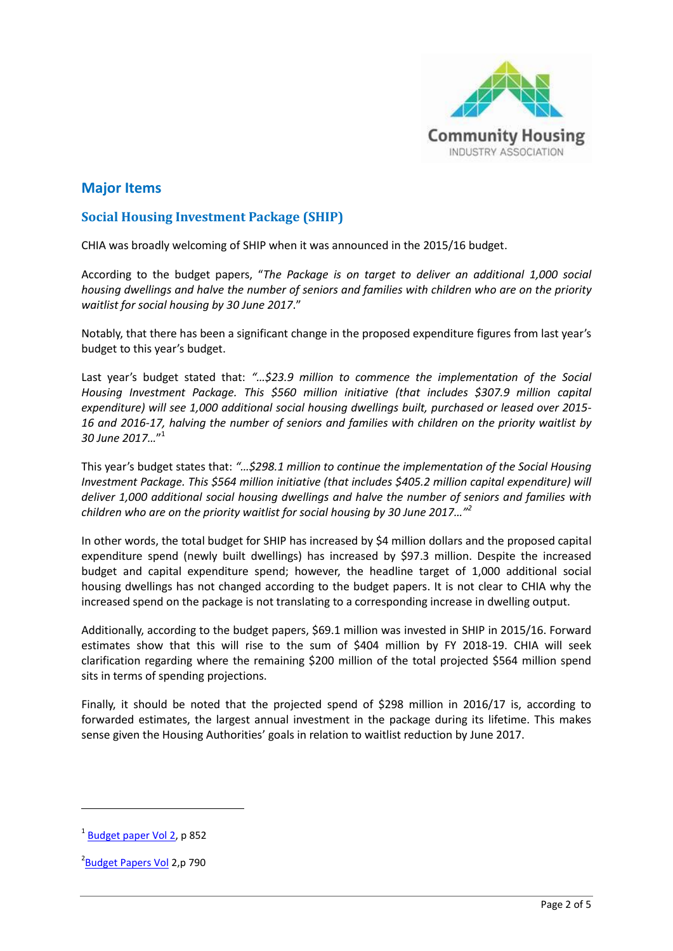

# **Major Items**

### **Social Housing Investment Package (SHIP)**

CHIA was broadly welcoming of SHIP when it was announced in the 2015/16 budget.

According to the budget papers, "*The Package is on target to deliver an additional 1,000 social housing dwellings and halve the number of seniors and families with children who are on the priority waitlist for social housing by 30 June 2017*."

Notably, that there has been a significant change in the proposed expenditure figures from last year's budget to this year's budget.

Last year's budget stated that: *"…\$23.9 million to commence the implementation of the Social Housing Investment Package. This \$560 million initiative (that includes \$307.9 million capital expenditure) will see 1,000 additional social housing dwellings built, purchased or leased over 2015- 16 and 2016-17, halving the number of seniors and families with children on the priority waitlist by 30 June 2017…*" 1

This year's budget states that: *"…\$298.1 million to continue the implementation of the Social Housing Investment Package. This \$564 million initiative (that includes \$405.2 million capital expenditure) will deliver 1,000 additional social housing dwellings and halve the number of seniors and families with children who are on the priority waitlist for social housing by 30 June 2017…"<sup>2</sup>*

In other words, the total budget for SHIP has increased by \$4 million dollars and the proposed capital expenditure spend (newly built dwellings) has increased by \$97.3 million. Despite the increased budget and capital expenditure spend; however, the headline target of 1,000 additional social housing dwellings has not changed according to the budget papers. It is not clear to CHIA why the increased spend on the package is not translating to a corresponding increase in dwelling output.

Additionally, according to the budget papers, \$69.1 million was invested in SHIP in 2015/16. Forward estimates show that this will rise to the sum of \$404 million by FY 2018-19. CHIA will seek clarification regarding where the remaining \$200 million of the total projected \$564 million spend sits in terms of spending projections.

Finally, it should be noted that the projected spend of \$298 million in 2016/17 is, according to forwarded estimates, the largest annual investment in the package during its lifetime. This makes sense given the Housing Authorities' goals in relation to waitlist reduction by June 2017.

**.** 

<sup>&</sup>lt;sup>1</sup> [Budget paper Vol 2,](http://static.ourstatebudget.wa.gov.au/15-16/2015-16-wa-state-budget_bp2_vol2.pdf?) p 852

<sup>&</sup>lt;sup>2</sup> [Budget Papers Vol](http://static.ourstatebudget.wa.gov.au/16-17/2016-17-wa-state-budget-bp2-vol2.pdf?) 2,p 790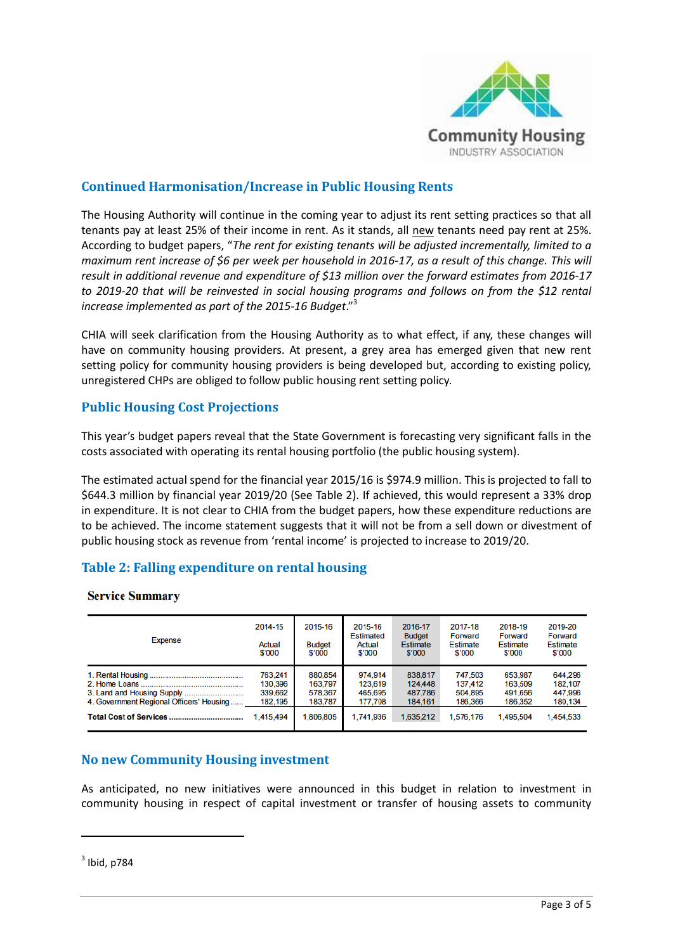

# **Continued Harmonisation/Increase in Public Housing Rents**

The Housing Authority will continue in the coming year to adjust its rent setting practices so that all tenants pay at least 25% of their income in rent. As it stands, all new tenants need pay rent at 25%. According to budget papers, "*The rent for existing tenants will be adjusted incrementally, limited to a maximum rent increase of \$6 per week per household in 2016-17, as a result of this change. This will result in additional revenue and expenditure of \$13 million over the forward estimates from 2016-17 to 2019-20 that will be reinvested in social housing programs and follows on from the \$12 rental increase implemented as part of the 2015-16 Budget*."<sup>3</sup>

CHIA will seek clarification from the Housing Authority as to what effect, if any, these changes will have on community housing providers. At present, a grey area has emerged given that new rent setting policy for community housing providers is being developed but, according to existing policy, unregistered CHPs are obliged to follow public housing rent setting policy.

# **Public Housing Cost Projections**

This year's budget papers reveal that the State Government is forecasting very significant falls in the costs associated with operating its rental housing portfolio (the public housing system).

The estimated actual spend for the financial year 2015/16 is \$974.9 million. This is projected to fall to \$644.3 million by financial year 2019/20 (See Table 2). If achieved, this would represent a 33% drop in expenditure. It is not clear to CHIA from the budget papers, how these expenditure reductions are to be achieved. The income statement suggests that it will not be from a sell down or divestment of public housing stock as revenue from 'rental income' is projected to increase to 2019/20.

# **Table 2: Falling expenditure on rental housing**

#### **Service Summary**

| <b>Expense</b>                           | 2014-15<br>Actual<br>\$'000 | 2015-16<br><b>Budget</b><br>\$'000 | 2015-16<br><b>Estimated</b><br>Actual<br>\$'000 | 2016-17<br><b>Budget</b><br><b>Estimate</b><br>\$'000 | 2017-18<br>Forward<br>Estimate<br>\$'000 | 2018-19<br>Forward<br><b>Estimate</b><br>\$'000 | 2019-20<br>Forward<br>Estimate<br>\$'000 |
|------------------------------------------|-----------------------------|------------------------------------|-------------------------------------------------|-------------------------------------------------------|------------------------------------------|-------------------------------------------------|------------------------------------------|
|                                          | 763,241                     | 880,854                            | 974,914                                         | 838.817                                               | 747,503                                  | 653,987                                         | 644.296                                  |
|                                          | 130,396                     | 163,797                            | 123,619                                         | 124,448                                               | 137,412                                  | 163,509                                         | 182,107                                  |
|                                          | 339,662                     | 578,367                            | 465,695                                         | 487,786                                               | 504,895                                  | 491,656                                         | 447,996                                  |
| 4. Government Regional Officers' Housing | 182,195                     | 183.787                            | 177.708                                         | 184.161                                               | 186.366                                  | 186,352                                         | 180,134                                  |
|                                          | .415.494                    | 1.806.805                          | 1.741.936                                       | 1.635.212                                             | 1.576.176                                | 1.495.504                                       | 1,454,533                                |

### **No new Community Housing investment**

As anticipated, no new initiatives were announced in this budget in relation to investment in community housing in respect of capital investment or transfer of housing assets to community

 $3$  Ibid, p784

**.**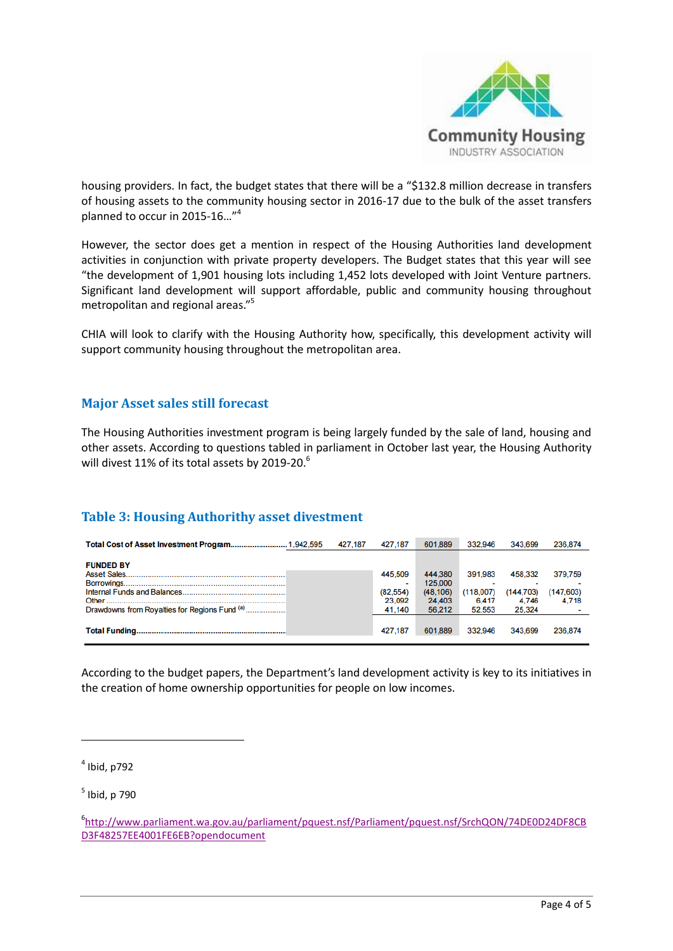

housing providers. In fact, the budget states that there will be a "\$132.8 million decrease in transfers of housing assets to the community housing sector in 2016-17 due to the bulk of the asset transfers planned to occur in 2015-16..."<sup>4</sup>

However, the sector does get a mention in respect of the Housing Authorities land development activities in conjunction with private property developers. The Budget states that this year will see "the development of 1,901 housing lots including 1,452 lots developed with Joint Venture partners. Significant land development will support affordable, public and community housing throughout metropolitan and regional areas."<sup>5</sup>

CHIA will look to clarify with the Housing Authority how, specifically, this development activity will support community housing throughout the metropolitan area.

### **Major Asset sales still forecast**

The Housing Authorities investment program is being largely funded by the sale of land, housing and other assets. According to questions tabled in parliament in October last year, the Housing Authority will divest 11% of its total assets by 2019-20.<sup>6</sup>

# **Table 3: Housing Authorithy asset divestment**

|                                               | 427.187 | 427.187  | 601.889   | 332.946   | 343.699   | 236.874    |
|-----------------------------------------------|---------|----------|-----------|-----------|-----------|------------|
|                                               |         |          |           |           |           |            |
| <b>FUNDED BY</b>                              |         |          |           |           |           |            |
|                                               |         | 445,509  | 444,380   | 391.983   | 458.332   | 379,759    |
|                                               |         |          | 125.000   |           |           |            |
|                                               |         | (82.554) | (48, 106) | (118.007) | (144,703) | (147, 603) |
|                                               |         | 23.092   | 24,403    | 6.417     | 4.746     | 4.718      |
| Drawdowns from Royalties for Regions Fund (a) |         | 41.140   | 56.212    | 52,553    | 25.324    |            |
|                                               |         |          |           |           |           |            |
|                                               |         | 427.187  | 601.889   | 332,946   | 343.699   | 236,874    |
|                                               |         |          |           |           |           |            |

According to the budget papers, the Department's land development activity is key to its initiatives in the creation of home ownership opportunities for people on low incomes.

 $<sup>4</sup>$  Ibid, p792</sup>

1

5 Ibid, p 790

6 [http://www.parliament.wa.gov.au/parliament/pquest.nsf/Parliament/pquest.nsf/SrchQON/74DE0D24DF8CB](http://www.parliament.wa.gov.au/parliament/pquest.nsf/Parliament/pquest.nsf/SrchQON/74DE0D24DF8CBD3F48257EE4001FE6EB?opendocument) [D3F48257EE4001FE6EB?opendocument](http://www.parliament.wa.gov.au/parliament/pquest.nsf/Parliament/pquest.nsf/SrchQON/74DE0D24DF8CBD3F48257EE4001FE6EB?opendocument)